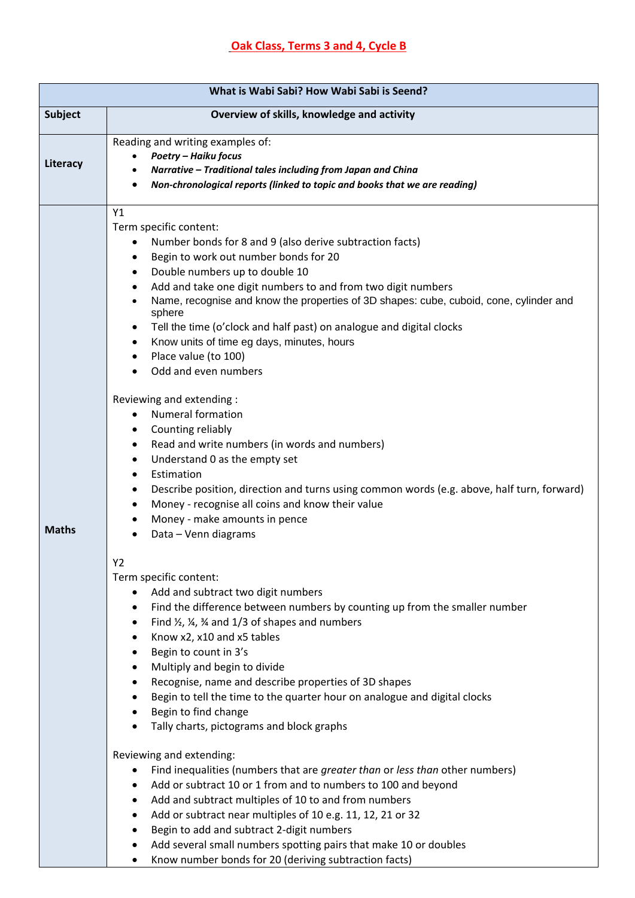| What is Wabi Sabi? How Wabi Sabi is Seend? |                                                                                                                                                                                                                                                                                                                                                                                                                                                                                                                                                                                                                                                                                                                                                                                                                                                                                                                                                                                                                                                                                                                                                                                                                                                                                                                                                                                                                                                                                                                                                                                                                                                                                                                                     |  |
|--------------------------------------------|-------------------------------------------------------------------------------------------------------------------------------------------------------------------------------------------------------------------------------------------------------------------------------------------------------------------------------------------------------------------------------------------------------------------------------------------------------------------------------------------------------------------------------------------------------------------------------------------------------------------------------------------------------------------------------------------------------------------------------------------------------------------------------------------------------------------------------------------------------------------------------------------------------------------------------------------------------------------------------------------------------------------------------------------------------------------------------------------------------------------------------------------------------------------------------------------------------------------------------------------------------------------------------------------------------------------------------------------------------------------------------------------------------------------------------------------------------------------------------------------------------------------------------------------------------------------------------------------------------------------------------------------------------------------------------------------------------------------------------------|--|
| <b>Subject</b>                             | Overview of skills, knowledge and activity                                                                                                                                                                                                                                                                                                                                                                                                                                                                                                                                                                                                                                                                                                                                                                                                                                                                                                                                                                                                                                                                                                                                                                                                                                                                                                                                                                                                                                                                                                                                                                                                                                                                                          |  |
| Literacy                                   | Reading and writing examples of:<br><b>Poetry - Haiku focus</b><br>Narrative - Traditional tales including from Japan and China<br>Non-chronological reports (linked to topic and books that we are reading)                                                                                                                                                                                                                                                                                                                                                                                                                                                                                                                                                                                                                                                                                                                                                                                                                                                                                                                                                                                                                                                                                                                                                                                                                                                                                                                                                                                                                                                                                                                        |  |
| <b>Maths</b>                               | Y1<br>Term specific content:<br>Number bonds for 8 and 9 (also derive subtraction facts)<br>Begin to work out number bonds for 20<br>$\bullet$<br>Double numbers up to double 10<br>$\bullet$<br>Add and take one digit numbers to and from two digit numbers<br>$\bullet$<br>Name, recognise and know the properties of 3D shapes: cube, cuboid, cone, cylinder and<br>sphere<br>Tell the time (o'clock and half past) on analogue and digital clocks<br>٠<br>Know units of time eg days, minutes, hours<br>٠<br>Place value (to 100)<br>٠<br>Odd and even numbers<br>Reviewing and extending :<br><b>Numeral formation</b><br>$\bullet$<br>Counting reliably<br>٠<br>Read and write numbers (in words and numbers)<br>$\bullet$<br>Understand 0 as the empty set<br>$\bullet$<br>Estimation<br>$\bullet$<br>Describe position, direction and turns using common words (e.g. above, half turn, forward)<br>$\bullet$<br>Money - recognise all coins and know their value<br>$\bullet$<br>Money - make amounts in pence<br>$\bullet$<br>Data - Venn diagrams<br>$\bullet$<br>Y2<br>Term specific content:<br>Add and subtract two digit numbers<br>Find the difference between numbers by counting up from the smaller number<br>٠<br>Find $\frac{1}{2}$ , $\frac{1}{4}$ , $\frac{3}{4}$ and 1/3 of shapes and numbers<br>$\bullet$<br>Know x2, x10 and x5 tables<br>$\bullet$<br>Begin to count in 3's<br>$\bullet$<br>Multiply and begin to divide<br>٠<br>Recognise, name and describe properties of 3D shapes<br>٠<br>Begin to tell the time to the quarter hour on analogue and digital clocks<br>٠<br>Begin to find change<br>$\bullet$<br>Tally charts, pictograms and block graphs<br>$\bullet$<br>Reviewing and extending: |  |
|                                            | Find inequalities (numbers that are greater than or less than other numbers)<br>٠<br>Add or subtract 10 or 1 from and to numbers to 100 and beyond<br>٠<br>Add and subtract multiples of 10 to and from numbers<br>Add or subtract near multiples of 10 e.g. 11, 12, 21 or 32<br>٠<br>Begin to add and subtract 2-digit numbers<br>٠                                                                                                                                                                                                                                                                                                                                                                                                                                                                                                                                                                                                                                                                                                                                                                                                                                                                                                                                                                                                                                                                                                                                                                                                                                                                                                                                                                                                |  |
|                                            | Add several small numbers spotting pairs that make 10 or doubles<br>٠                                                                                                                                                                                                                                                                                                                                                                                                                                                                                                                                                                                                                                                                                                                                                                                                                                                                                                                                                                                                                                                                                                                                                                                                                                                                                                                                                                                                                                                                                                                                                                                                                                                               |  |

• Know number bonds for 20 (deriving subtraction facts)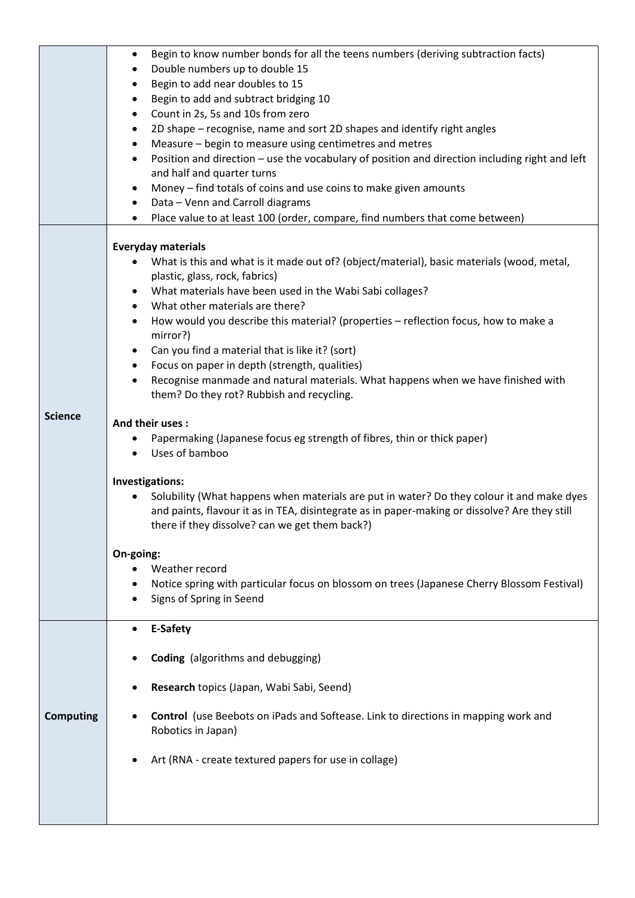|                  | Begin to know number bonds for all the teens numbers (deriving subtraction facts)<br>$\bullet$               |
|------------------|--------------------------------------------------------------------------------------------------------------|
|                  | Double numbers up to double 15                                                                               |
|                  | Begin to add near doubles to 15<br>٠<br>Begin to add and subtract bridging 10                                |
|                  | Count in 2s, 5s and 10s from zero<br>$\bullet$                                                               |
|                  | 2D shape - recognise, name and sort 2D shapes and identify right angles<br>٠                                 |
|                  | Measure – begin to measure using centimetres and metres                                                      |
|                  | Position and direction - use the vocabulary of position and direction including right and left<br>$\bullet$  |
|                  | and half and quarter turns                                                                                   |
|                  | Money - find totals of coins and use coins to make given amounts<br>$\bullet$                                |
|                  | Data - Venn and Carroll diagrams<br>$\bullet$                                                                |
|                  | Place value to at least 100 (order, compare, find numbers that come between)                                 |
|                  | <b>Everyday materials</b>                                                                                    |
|                  | What is this and what is it made out of? (object/material), basic materials (wood, metal,                    |
|                  | plastic, glass, rock, fabrics)                                                                               |
|                  | What materials have been used in the Wabi Sabi collages?                                                     |
|                  | What other materials are there?<br>$\bullet$                                                                 |
|                  | How would you describe this material? (properties - reflection focus, how to make a<br>$\bullet$<br>mirror?) |
|                  | Can you find a material that is like it? (sort)                                                              |
|                  | Focus on paper in depth (strength, qualities)<br>٠                                                           |
|                  | Recognise manmade and natural materials. What happens when we have finished with<br>$\bullet$                |
|                  | them? Do they rot? Rubbish and recycling.                                                                    |
| <b>Science</b>   | And their uses:                                                                                              |
|                  | Papermaking (Japanese focus eg strength of fibres, thin or thick paper)                                      |
|                  | Uses of bamboo                                                                                               |
|                  | Investigations:                                                                                              |
|                  | Solubility (What happens when materials are put in water? Do they colour it and make dyes                    |
|                  | and paints, flavour it as in TEA, disintegrate as in paper-making or dissolve? Are they still                |
|                  | there if they dissolve? can we get them back?)                                                               |
|                  | On-going:                                                                                                    |
|                  | Weather record                                                                                               |
|                  | Notice spring with particular focus on blossom on trees (Japanese Cherry Blossom Festival)                   |
|                  | Signs of Spring in Seend                                                                                     |
|                  | E-Safety                                                                                                     |
|                  |                                                                                                              |
|                  | <b>Coding</b> (algorithms and debugging)                                                                     |
|                  |                                                                                                              |
|                  | Research topics (Japan, Wabi Sabi, Seend)                                                                    |
| <b>Computing</b> | <b>Control</b> (use Beebots on iPads and Softease. Link to directions in mapping work and                    |
|                  | Robotics in Japan)                                                                                           |
|                  | Art (RNA - create textured papers for use in collage)                                                        |
|                  |                                                                                                              |
|                  |                                                                                                              |
|                  |                                                                                                              |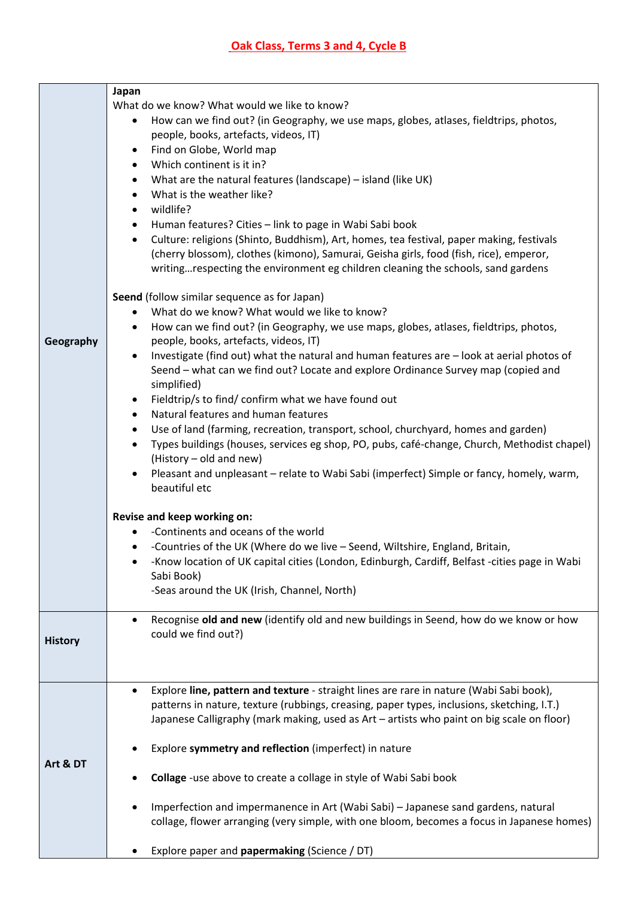|                | Japan                                                                                                                                                                                              |
|----------------|----------------------------------------------------------------------------------------------------------------------------------------------------------------------------------------------------|
|                | What do we know? What would we like to know?                                                                                                                                                       |
|                | How can we find out? (in Geography, we use maps, globes, atlases, fieldtrips, photos,<br>$\bullet$                                                                                                 |
|                | people, books, artefacts, videos, IT)                                                                                                                                                              |
|                | Find on Globe, World map<br>٠                                                                                                                                                                      |
|                | Which continent is it in?<br>$\bullet$                                                                                                                                                             |
|                | What are the natural features (landscape) - island (like UK)<br>$\bullet$                                                                                                                          |
|                | What is the weather like?<br>$\bullet$                                                                                                                                                             |
|                | wildlife?<br>$\bullet$                                                                                                                                                                             |
|                | Human features? Cities - link to page in Wabi Sabi book<br>$\bullet$                                                                                                                               |
|                | Culture: religions (Shinto, Buddhism), Art, homes, tea festival, paper making, festivals<br>$\bullet$                                                                                              |
|                | (cherry blossom), clothes (kimono), Samurai, Geisha girls, food (fish, rice), emperor,                                                                                                             |
|                | writingrespecting the environment eg children cleaning the schools, sand gardens                                                                                                                   |
|                | Seend (follow similar sequence as for Japan)                                                                                                                                                       |
|                | What do we know? What would we like to know?                                                                                                                                                       |
|                | How can we find out? (in Geography, we use maps, globes, atlases, fieldtrips, photos,<br>$\bullet$                                                                                                 |
| Geography      | people, books, artefacts, videos, IT)                                                                                                                                                              |
|                | Investigate (find out) what the natural and human features are - look at aerial photos of<br>$\bullet$                                                                                             |
|                | Seend - what can we find out? Locate and explore Ordinance Survey map (copied and                                                                                                                  |
|                | simplified)                                                                                                                                                                                        |
|                | Fieldtrip/s to find/ confirm what we have found out<br>$\bullet$                                                                                                                                   |
|                | Natural features and human features<br>٠                                                                                                                                                           |
|                | Use of land (farming, recreation, transport, school, churchyard, homes and garden)<br>$\bullet$                                                                                                    |
|                | Types buildings (houses, services eg shop, PO, pubs, café-change, Church, Methodist chapel)<br>$\bullet$                                                                                           |
|                | (History - old and new)                                                                                                                                                                            |
|                | Pleasant and unpleasant - relate to Wabi Sabi (imperfect) Simple or fancy, homely, warm,<br>$\bullet$                                                                                              |
|                | beautiful etc                                                                                                                                                                                      |
|                | Revise and keep working on:                                                                                                                                                                        |
|                | -Continents and oceans of the world                                                                                                                                                                |
|                | -Countries of the UK (Where do we live - Seend, Wiltshire, England, Britain,<br>٠                                                                                                                  |
|                | -Know location of UK capital cities (London, Edinburgh, Cardiff, Belfast -cities page in Wabi                                                                                                      |
|                | Sabi Book)                                                                                                                                                                                         |
|                | -Seas around the UK (Irish, Channel, North)                                                                                                                                                        |
|                |                                                                                                                                                                                                    |
|                | Recognise old and new (identify old and new buildings in Seend, how do we know or how<br>$\bullet$                                                                                                 |
| <b>History</b> | could we find out?)                                                                                                                                                                                |
|                |                                                                                                                                                                                                    |
|                |                                                                                                                                                                                                    |
|                |                                                                                                                                                                                                    |
|                | Explore line, pattern and texture - straight lines are rare in nature (Wabi Sabi book),<br>$\bullet$<br>patterns in nature, texture (rubbings, creasing, paper types, inclusions, sketching, I.T.) |
|                | Japanese Calligraphy (mark making, used as Art - artists who paint on big scale on floor)                                                                                                          |
|                |                                                                                                                                                                                                    |
| Art & DT       | Explore symmetry and reflection (imperfect) in nature                                                                                                                                              |
|                |                                                                                                                                                                                                    |
|                | Collage -use above to create a collage in style of Wabi Sabi book                                                                                                                                  |
|                |                                                                                                                                                                                                    |
|                | Imperfection and impermanence in Art (Wabi Sabi) - Japanese sand gardens, natural                                                                                                                  |
|                | collage, flower arranging (very simple, with one bloom, becomes a focus in Japanese homes)                                                                                                         |
|                |                                                                                                                                                                                                    |
|                | Explore paper and papermaking (Science / DT)                                                                                                                                                       |